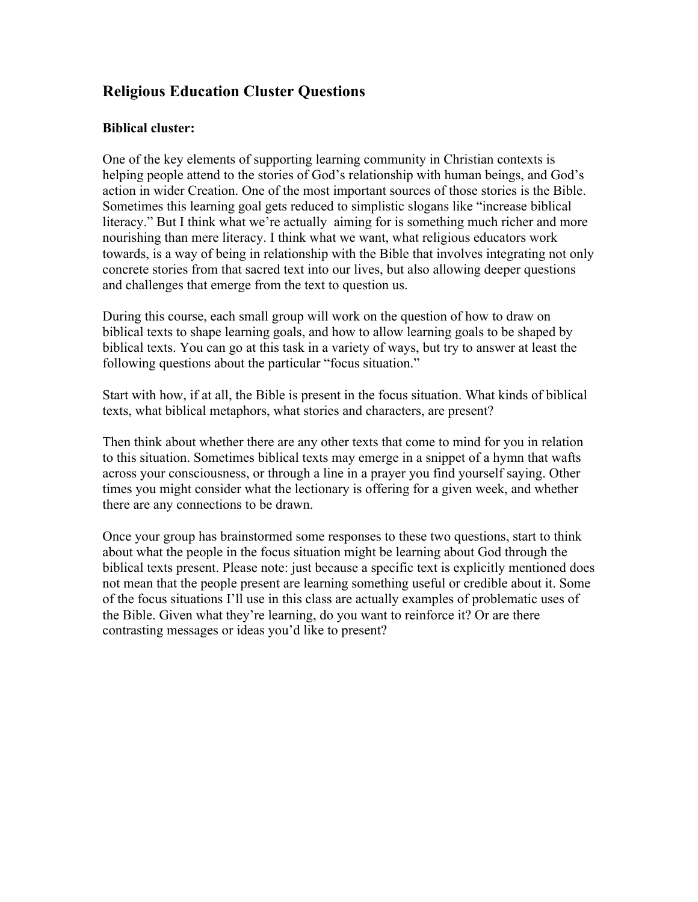# **Religious Education Cluster Questions**

## **Biblical cluster:**

One of the key elements of supporting learning community in Christian contexts is helping people attend to the stories of God's relationship with human beings, and God's action in wider Creation. One of the most important sources of those stories is the Bible. Sometimes this learning goal gets reduced to simplistic slogans like "increase biblical literacy." But I think what we're actually aiming for is something much richer and more nourishing than mere literacy. I think what we want, what religious educators work towards, is a way of being in relationship with the Bible that involves integrating not only concrete stories from that sacred text into our lives, but also allowing deeper questions and challenges that emerge from the text to question us.

During this course, each small group will work on the question of how to draw on biblical texts to shape learning goals, and how to allow learning goals to be shaped by biblical texts. You can go at this task in a variety of ways, but try to answer at least the following questions about the particular "focus situation."

Start with how, if at all, the Bible is present in the focus situation. What kinds of biblical texts, what biblical metaphors, what stories and characters, are present?

Then think about whether there are any other texts that come to mind for you in relation to this situation. Sometimes biblical texts may emerge in a snippet of a hymn that wafts across your consciousness, or through a line in a prayer you find yourself saying. Other times you might consider what the lectionary is offering for a given week, and whether there are any connections to be drawn.

Once your group has brainstormed some responses to these two questions, start to think about what the people in the focus situation might be learning about God through the biblical texts present. Please note: just because a specific text is explicitly mentioned does not mean that the people present are learning something useful or credible about it. Some of the focus situations I'll use in this class are actually examples of problematic uses of the Bible. Given what they're learning, do you want to reinforce it? Or are there contrasting messages or ideas you'd like to present?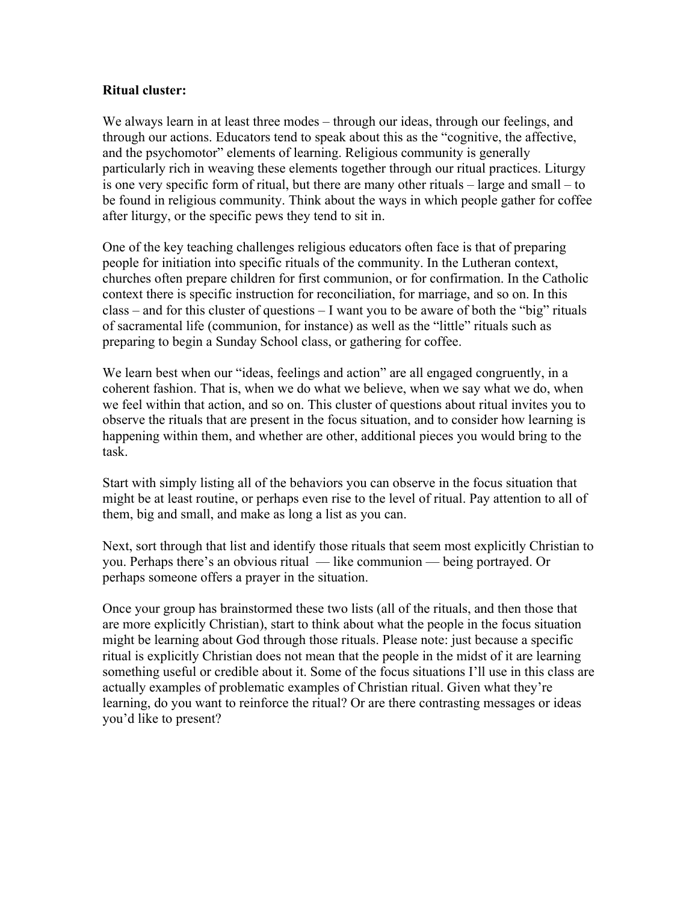#### **Ritual cluster:**

We always learn in at least three modes – through our ideas, through our feelings, and through our actions. Educators tend to speak about this as the "cognitive, the affective, and the psychomotor" elements of learning. Religious community is generally particularly rich in weaving these elements together through our ritual practices. Liturgy is one very specific form of ritual, but there are many other rituals – large and small – to be found in religious community. Think about the ways in which people gather for coffee after liturgy, or the specific pews they tend to sit in.

One of the key teaching challenges religious educators often face is that of preparing people for initiation into specific rituals of the community. In the Lutheran context, churches often prepare children for first communion, or for confirmation. In the Catholic context there is specific instruction for reconciliation, for marriage, and so on. In this class – and for this cluster of questions – I want you to be aware of both the "big" rituals of sacramental life (communion, for instance) as well as the "little" rituals such as preparing to begin a Sunday School class, or gathering for coffee.

We learn best when our "ideas, feelings and action" are all engaged congruently, in a coherent fashion. That is, when we do what we believe, when we say what we do, when we feel within that action, and so on. This cluster of questions about ritual invites you to observe the rituals that are present in the focus situation, and to consider how learning is happening within them, and whether are other, additional pieces you would bring to the task.

Start with simply listing all of the behaviors you can observe in the focus situation that might be at least routine, or perhaps even rise to the level of ritual. Pay attention to all of them, big and small, and make as long a list as you can.

Next, sort through that list and identify those rituals that seem most explicitly Christian to you. Perhaps there's an obvious ritual — like communion — being portrayed. Or perhaps someone offers a prayer in the situation.

Once your group has brainstormed these two lists (all of the rituals, and then those that are more explicitly Christian), start to think about what the people in the focus situation might be learning about God through those rituals. Please note: just because a specific ritual is explicitly Christian does not mean that the people in the midst of it are learning something useful or credible about it. Some of the focus situations I'll use in this class are actually examples of problematic examples of Christian ritual. Given what they're learning, do you want to reinforce the ritual? Or are there contrasting messages or ideas you'd like to present?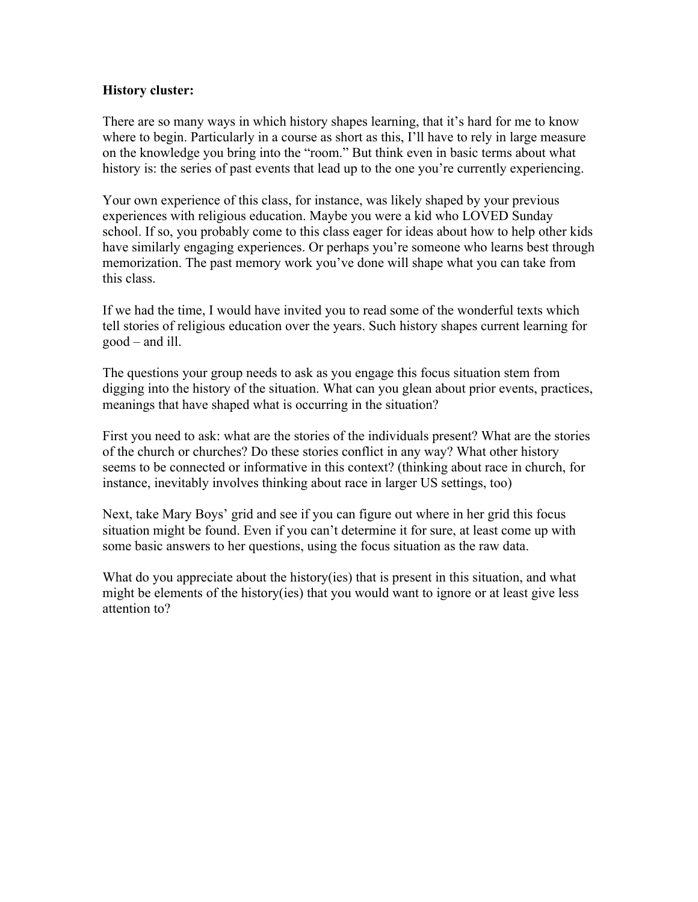## **History cluster:**

There are so many ways in which history shapes learning, that it's hard for me to know where to begin. Particularly in a course as short as this, I'll have to rely in large measure on the knowledge you bring into the "room." But think even in basic terms about what history is: the series of past events that lead up to the one you're currently experiencing.

Your own experience of this class, for instance, was likely shaped by your previous experiences with religious education. Maybe you were a kid who LOVED Sunday school. If so, you probably come to this class eager for ideas about how to help other kids have similarly engaging experiences. Or perhaps you're someone who learns best through memorization. The past memory work you've done will shape what you can take from this class.

If we had the time, I would have invited you to read some of the wonderful texts which tell stories of religious education over the years. Such history shapes current learning for good – and ill.

The questions your group needs to ask as you engage this focus situation stem from digging into the history of the situation. What can you glean about prior events, practices, meanings that have shaped what is occurring in the situation?

First you need to ask: what are the stories of the individuals present? What are the stories of the church or churches? Do these stories conflict in any way? What other history seems to be connected or informative in this context? (thinking about race in church, for instance, inevitably involves thinking about race in larger US settings, too)

Next, take Mary Boys' grid and see if you can figure out where in her grid this focus situation might be found. Even if you can't determine it for sure, at least come up with some basic answers to her questions, using the focus situation as the raw data.

What do you appreciate about the history(ies) that is present in this situation, and what might be elements of the history(ies) that you would want to ignore or at least give less attention to?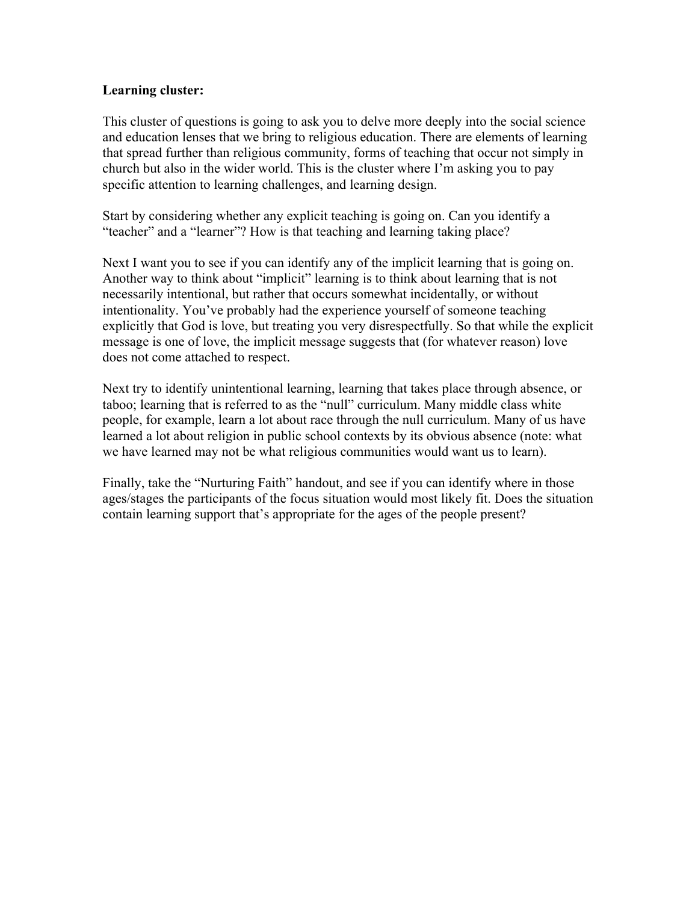## **Learning cluster:**

This cluster of questions is going to ask you to delve more deeply into the social science and education lenses that we bring to religious education. There are elements of learning that spread further than religious community, forms of teaching that occur not simply in church but also in the wider world. This is the cluster where I'm asking you to pay specific attention to learning challenges, and learning design.

Start by considering whether any explicit teaching is going on. Can you identify a "teacher" and a "learner"? How is that teaching and learning taking place?

Next I want you to see if you can identify any of the implicit learning that is going on. Another way to think about "implicit" learning is to think about learning that is not necessarily intentional, but rather that occurs somewhat incidentally, or without intentionality. You've probably had the experience yourself of someone teaching explicitly that God is love, but treating you very disrespectfully. So that while the explicit message is one of love, the implicit message suggests that (for whatever reason) love does not come attached to respect.

Next try to identify unintentional learning, learning that takes place through absence, or taboo; learning that is referred to as the "null" curriculum. Many middle class white people, for example, learn a lot about race through the null curriculum. Many of us have learned a lot about religion in public school contexts by its obvious absence (note: what we have learned may not be what religious communities would want us to learn).

Finally, take the "Nurturing Faith" handout, and see if you can identify where in those ages/stages the participants of the focus situation would most likely fit. Does the situation contain learning support that's appropriate for the ages of the people present?